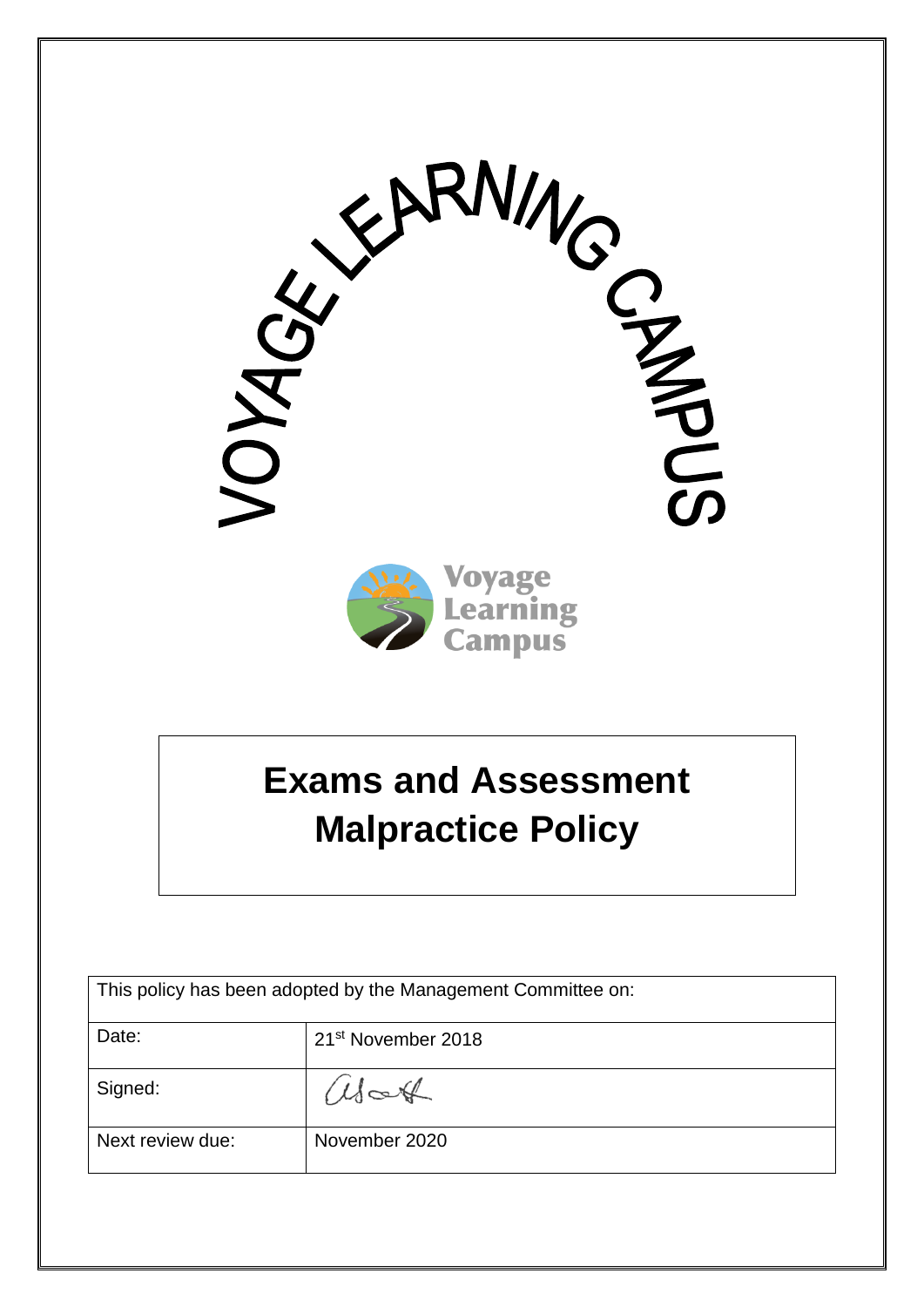

# **Exams and Assessment Malpractice Policy**

| This policy has been adopted by the Management Committee on: |                                |
|--------------------------------------------------------------|--------------------------------|
| Date:                                                        | 21 <sup>st</sup> November 2018 |
| Signed:                                                      | alatt                          |
| Next review due:                                             | November 2020                  |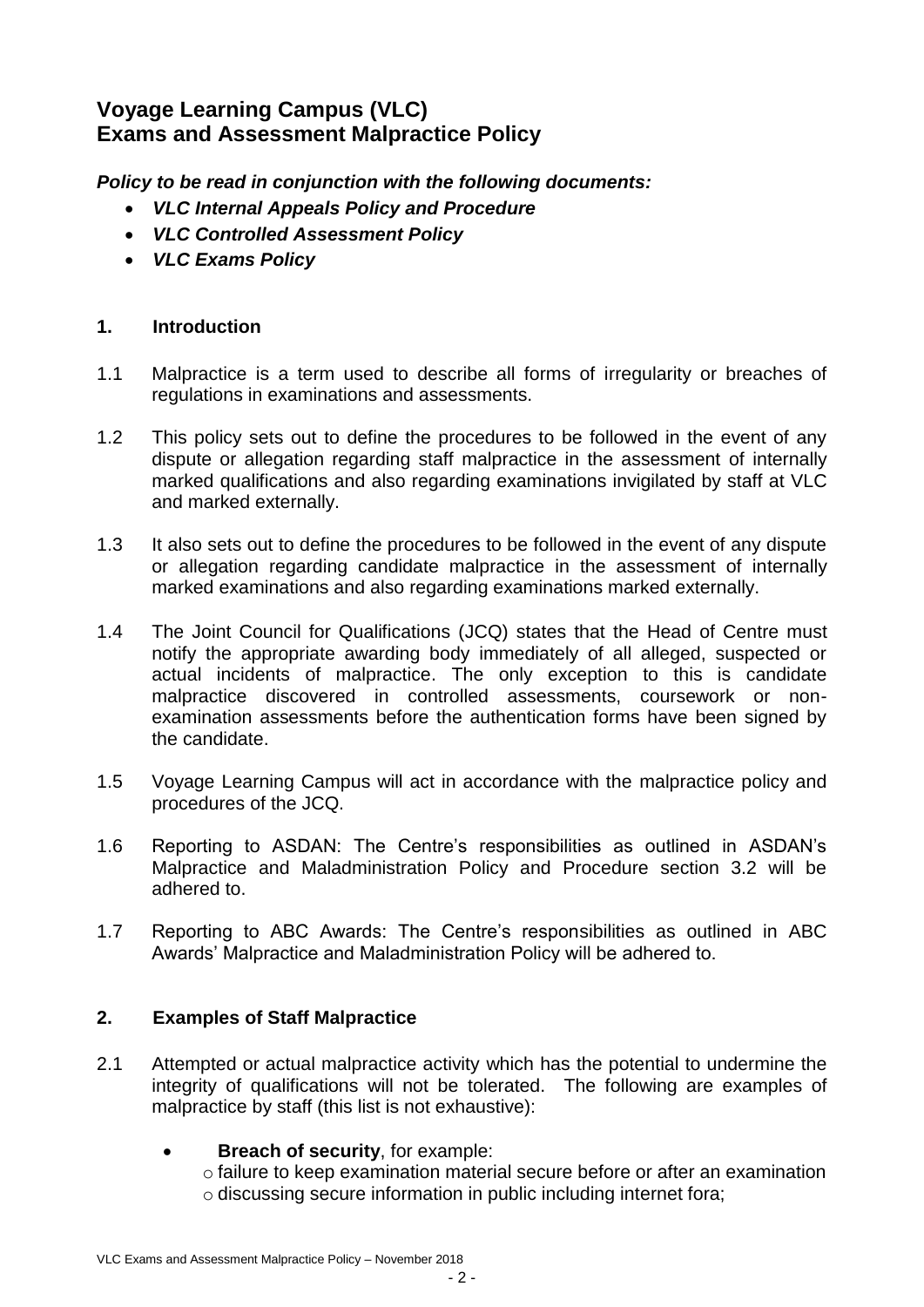## **Voyage Learning Campus (VLC) Exams and Assessment Malpractice Policy**

*Policy to be read in conjunction with the following documents:*

- *VLC Internal Appeals Policy and Procedure*
- *VLC Controlled Assessment Policy*
- *VLC Exams Policy*

#### **1. Introduction**

- 1.1 Malpractice is a term used to describe all forms of irregularity or breaches of regulations in examinations and assessments.
- 1.2 This policy sets out to define the procedures to be followed in the event of any dispute or allegation regarding staff malpractice in the assessment of internally marked qualifications and also regarding examinations invigilated by staff at VLC and marked externally.
- 1.3 It also sets out to define the procedures to be followed in the event of any dispute or allegation regarding candidate malpractice in the assessment of internally marked examinations and also regarding examinations marked externally.
- 1.4 The Joint Council for Qualifications (JCQ) states that the Head of Centre must notify the appropriate awarding body immediately of all alleged, suspected or actual incidents of malpractice. The only exception to this is candidate malpractice discovered in controlled assessments, coursework or nonexamination assessments before the authentication forms have been signed by the candidate.
- 1.5 Voyage Learning Campus will act in accordance with the malpractice policy and procedures of the JCQ.
- 1.6 Reporting to ASDAN: The Centre's responsibilities as outlined in ASDAN's Malpractice and Maladministration Policy and Procedure section 3.2 will be adhered to.
- 1.7 Reporting to ABC Awards: The Centre's responsibilities as outlined in ABC Awards' Malpractice and Maladministration Policy will be adhered to.

#### **2. Examples of Staff Malpractice**

- 2.1 Attempted or actual malpractice activity which has the potential to undermine the integrity of qualifications will not be tolerated. The following are examples of malpractice by staff (this list is not exhaustive):
	- **Breach of security**, for example:
		- $\circ$  failure to keep examination material secure before or after an examination o discussing secure information in public including internet fora;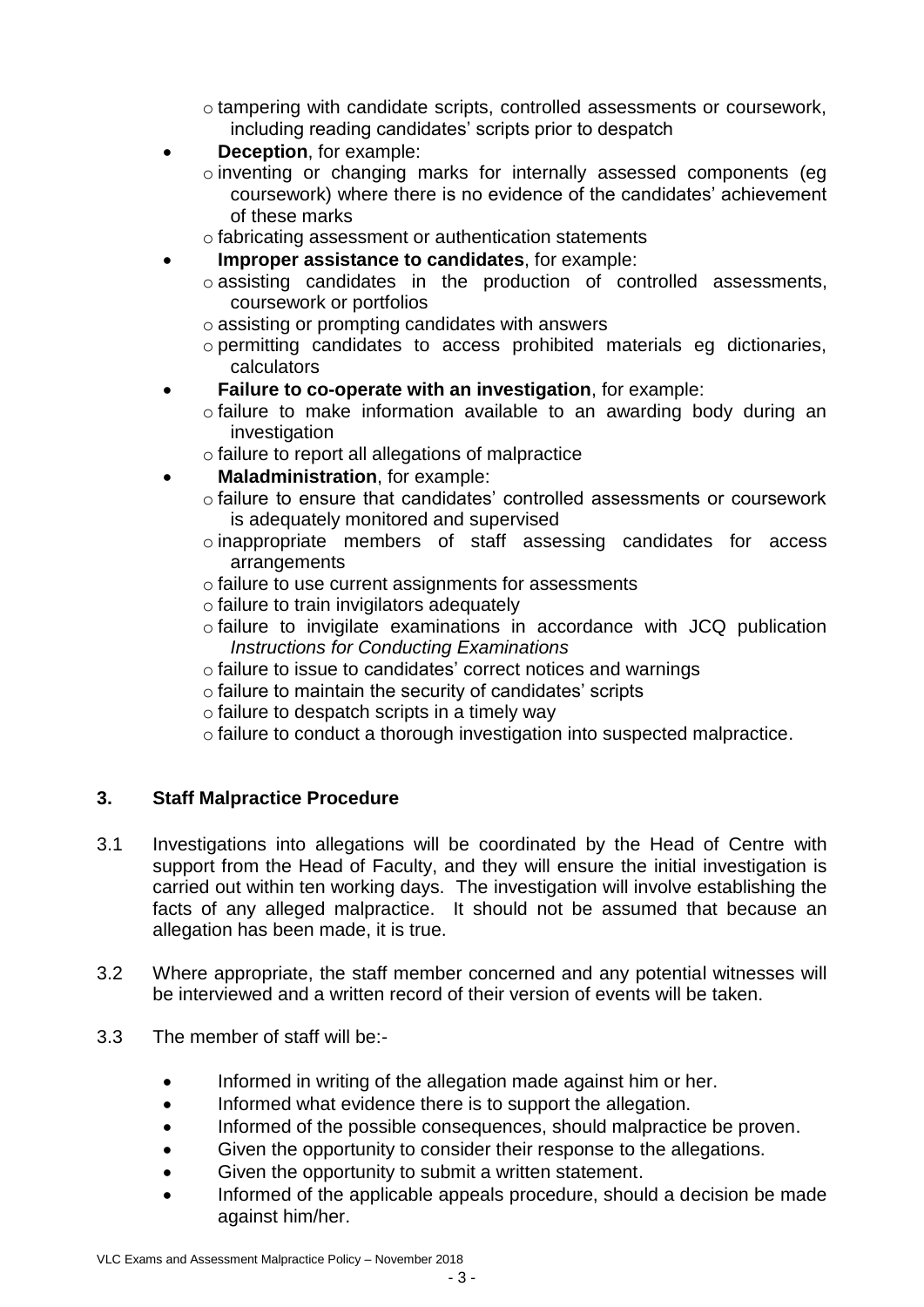$\circ$  tampering with candidate scripts, controlled assessments or coursework, including reading candidates' scripts prior to despatch

- **Deception**, for example:
	- o inventing or changing marks for internally assessed components (eg coursework) where there is no evidence of the candidates' achievement of these marks
	- o fabricating assessment or authentication statements
- **Improper assistance to candidates**, for example:
	- o assisting candidates in the production of controlled assessments, coursework or portfolios
	- o assisting or prompting candidates with answers
	- o permitting candidates to access prohibited materials eg dictionaries, calculators
- **Failure to co-operate with an investigation**, for example:
	- o failure to make information available to an awarding body during an investigation
	- o failure to report all allegations of malpractice
	- **Maladministration**, for example:
		- o failure to ensure that candidates' controlled assessments or coursework is adequately monitored and supervised
		- o inappropriate members of staff assessing candidates for access arrangements
		- o failure to use current assignments for assessments
		- o failure to train invigilators adequately
		- o failure to invigilate examinations in accordance with JCQ publication *Instructions for Conducting Examinations*
		- o failure to issue to candidates' correct notices and warnings
		- o failure to maintain the security of candidates' scripts
		- o failure to despatch scripts in a timely way
		- o failure to conduct a thorough investigation into suspected malpractice.

#### **3. Staff Malpractice Procedure**

- 3.1 Investigations into allegations will be coordinated by the Head of Centre with support from the Head of Faculty, and they will ensure the initial investigation is carried out within ten working days. The investigation will involve establishing the facts of any alleged malpractice. It should not be assumed that because an allegation has been made, it is true.
- 3.2 Where appropriate, the staff member concerned and any potential witnesses will be interviewed and a written record of their version of events will be taken.
- 3.3 The member of staff will be:-
	- Informed in writing of the allegation made against him or her.
	- Informed what evidence there is to support the allegation.
	- Informed of the possible consequences, should malpractice be proven.
	- Given the opportunity to consider their response to the allegations.
	- Given the opportunity to submit a written statement.
	- Informed of the applicable appeals procedure, should a decision be made against him/her.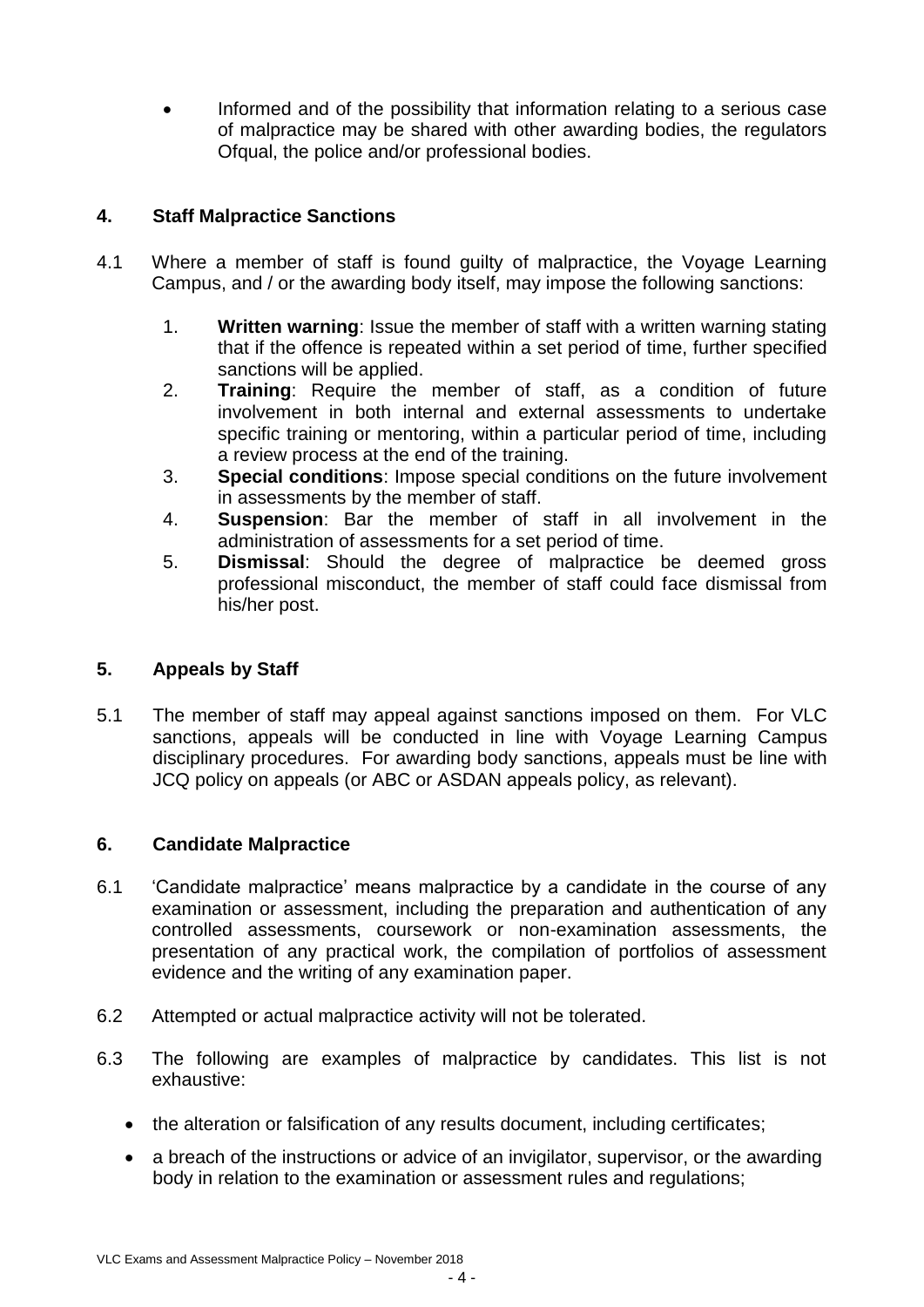Informed and of the possibility that information relating to a serious case of malpractice may be shared with other awarding bodies, the regulators Ofqual, the police and/or professional bodies.

### **4. Staff Malpractice Sanctions**

- 4.1 Where a member of staff is found guilty of malpractice, the Voyage Learning Campus, and / or the awarding body itself, may impose the following sanctions:
	- 1. **Written warning**: Issue the member of staff with a written warning stating that if the offence is repeated within a set period of time, further specified sanctions will be applied.
	- 2. **Training**: Require the member of staff, as a condition of future involvement in both internal and external assessments to undertake specific training or mentoring, within a particular period of time, including a review process at the end of the training.
	- 3. **Special conditions**: Impose special conditions on the future involvement in assessments by the member of staff.
	- 4. **Suspension**: Bar the member of staff in all involvement in the administration of assessments for a set period of time.
	- 5. **Dismissal**: Should the degree of malpractice be deemed gross professional misconduct, the member of staff could face dismissal from his/her post.

#### **5. Appeals by Staff**

5.1 The member of staff may appeal against sanctions imposed on them. For VLC sanctions, appeals will be conducted in line with Voyage Learning Campus disciplinary procedures. For awarding body sanctions, appeals must be line with JCQ policy on appeals (or ABC or ASDAN appeals policy, as relevant).

#### **6. Candidate Malpractice**

- 6.1 'Candidate malpractice' means malpractice by a candidate in the course of any examination or assessment, including the preparation and authentication of any controlled assessments, coursework or non-examination assessments, the presentation of any practical work, the compilation of portfolios of assessment evidence and the writing of any examination paper.
- 6.2 Attempted or actual malpractice activity will not be tolerated.
- 6.3 The following are examples of malpractice by candidates. This list is not exhaustive:
	- the alteration or falsification of any results document, including certificates;
	- a breach of the instructions or advice of an invigilator, supervisor, or the awarding body in relation to the examination or assessment rules and regulations;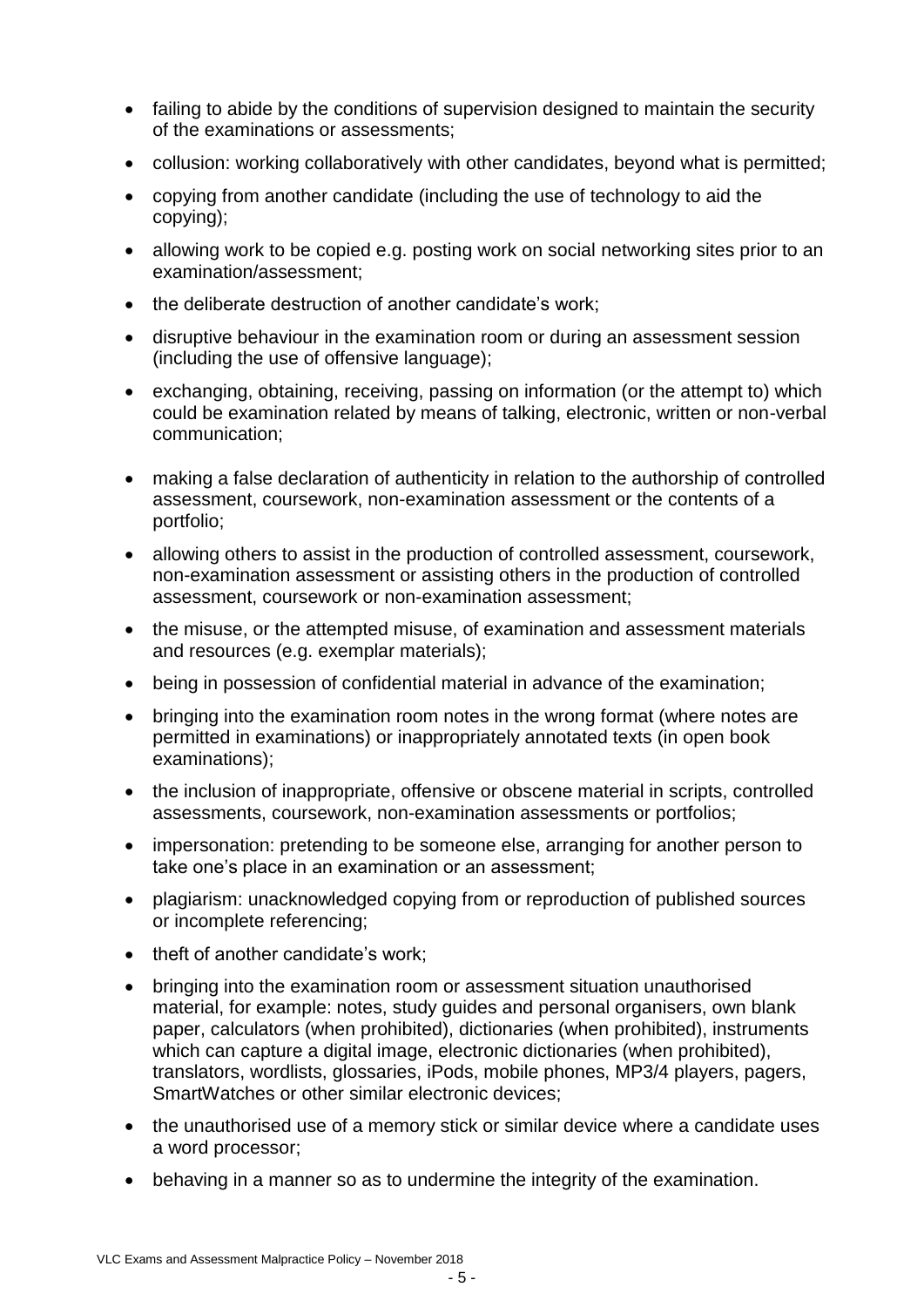- failing to abide by the conditions of supervision designed to maintain the security of the examinations or assessments;
- collusion: working collaboratively with other candidates, beyond what is permitted;
- copying from another candidate (including the use of technology to aid the copying);
- allowing work to be copied e.g. posting work on social networking sites prior to an examination/assessment;
- the deliberate destruction of another candidate's work:
- disruptive behaviour in the examination room or during an assessment session (including the use of offensive language);
- exchanging, obtaining, receiving, passing on information (or the attempt to) which could be examination related by means of talking, electronic, written or non-verbal communication;
- making a false declaration of authenticity in relation to the authorship of controlled assessment, coursework, non-examination assessment or the contents of a portfolio;
- allowing others to assist in the production of controlled assessment, coursework, non-examination assessment or assisting others in the production of controlled assessment, coursework or non-examination assessment;
- the misuse, or the attempted misuse, of examination and assessment materials and resources (e.g. exemplar materials);
- being in possession of confidential material in advance of the examination;
- bringing into the examination room notes in the wrong format (where notes are permitted in examinations) or inappropriately annotated texts (in open book examinations);
- the inclusion of inappropriate, offensive or obscene material in scripts, controlled assessments, coursework, non-examination assessments or portfolios;
- impersonation: pretending to be someone else, arranging for another person to take one's place in an examination or an assessment;
- plagiarism: unacknowledged copying from or reproduction of published sources or incomplete referencing;
- theft of another candidate's work:
- bringing into the examination room or assessment situation unauthorised material, for example: notes, study guides and personal organisers, own blank paper, calculators (when prohibited), dictionaries (when prohibited), instruments which can capture a digital image, electronic dictionaries (when prohibited), translators, wordlists, glossaries, iPods, mobile phones, MP3/4 players, pagers, SmartWatches or other similar electronic devices;
- the unauthorised use of a memory stick or similar device where a candidate uses a word processor;
- behaving in a manner so as to undermine the integrity of the examination.